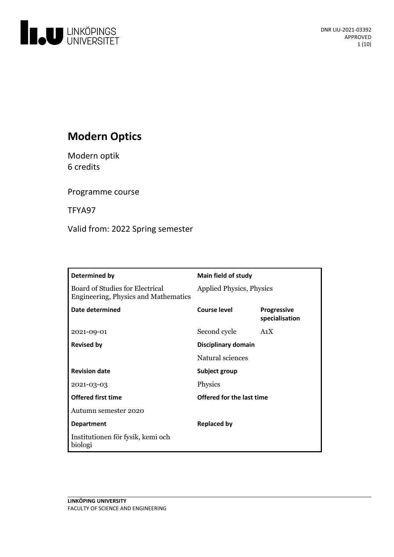

# **Modern Optics**

Modern optik 6 credits

Programme course

TFYA97

Valid from: 2022 Spring semester

| <b>Determined by</b>                                                           | Main field of study             |                                      |
|--------------------------------------------------------------------------------|---------------------------------|--------------------------------------|
| Board of Studies for Electrical<br><b>Engineering, Physics and Mathematics</b> | <b>Applied Physics, Physics</b> |                                      |
| Date determined                                                                | Course level                    | <b>Progressive</b><br>specialisation |
| 2021-09-01                                                                     | Second cycle                    | A <sub>1</sub> X                     |
| <b>Revised by</b>                                                              | Disciplinary domain             |                                      |
|                                                                                | Natural sciences                |                                      |
| <b>Revision date</b>                                                           | Subject group                   |                                      |
| 2021-03-03                                                                     | Physics                         |                                      |
| <b>Offered first time</b>                                                      | Offered for the last time       |                                      |
| Autumn semester 2020                                                           |                                 |                                      |
| <b>Department</b>                                                              | <b>Replaced by</b>              |                                      |
| Institutionen för fysik, kemi och<br>biologi                                   |                                 |                                      |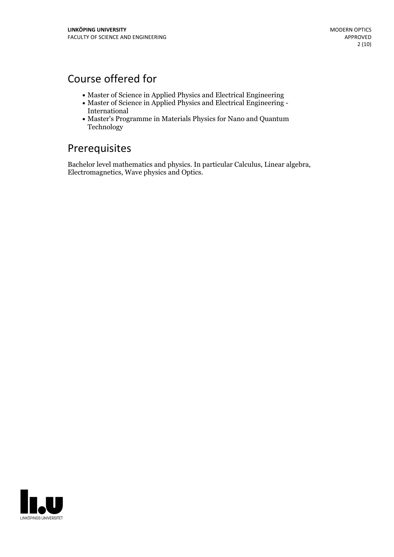## Course offered for

- Master of Science in Applied Physics and Electrical Engineering
- Master of Science in Applied Physics and Electrical Engineering International
- Master's Programme in Materials Physics for Nano and Quantum Technology

## Prerequisites

Bachelor level mathematics and physics. In particular Calculus, Linear algebra, Electromagnetics, Wave physics and Optics.

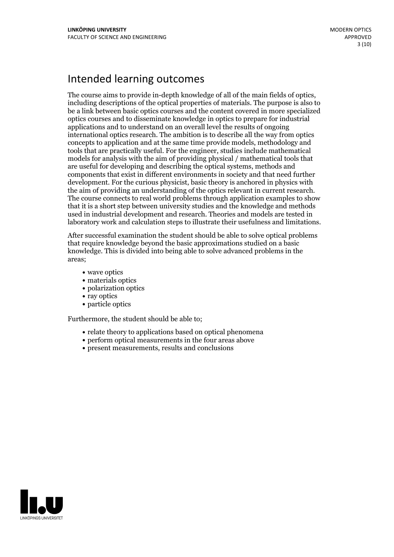## Intended learning outcomes

The course aims to provide in-depth knowledge of all of the main fields of optics, including descriptions of the optical properties of materials. The purpose is also to be a link between basic optics courses and the content covered in more specialized optics courses and to disseminate knowledge in optics to prepare for industrial applications and to understand on an overall level the results of ongoing international optics research. The ambition is to describe all the way from optics concepts to application and at the same time provide models, methodology and tools that are practically useful. For the engineer, studies include mathematical models for analysis with the aim of providing physical / mathematical tools that are useful for developing and describing the optical systems, methods and components that exist in different environments in society and that need further development. For the curious physicist, basic theory is anchored in physics with the aim of providing an understanding of the optics relevant in current research. The course connects to real world problems through application examples to show that it is a short step between university studies and the knowledge and methods used in industrial development and research. Theories and models are tested in laboratory work and calculation steps to illustrate their usefulness and limitations.

After successful examination the student should be able to solve optical problems that require knowledge beyond the basic approximations studied on a basic knowledge. This is divided into being able to solve advanced problems in the areas;

- wave optics
- materials optics
- polarization optics
- ray optics
- particle optics

Furthermore, the student should be able to;

- relate theory to applications based on optical phenomena
- perform optical measurements in the four areas above
- present measurements, results and conclusions

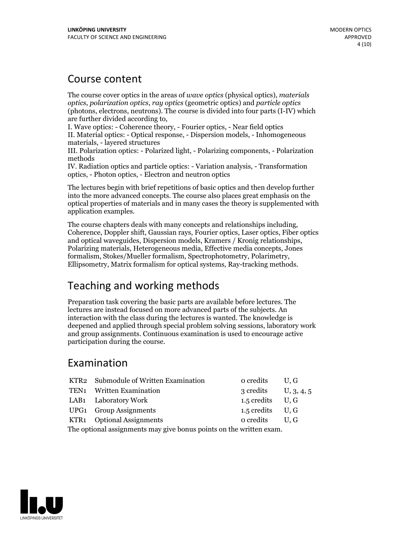## Course content

The course cover optics in the areas of *wave optics* (physical optics), *materials optics*, *polarization optics*, *ray optics* (geometric optics) and *particle optics* (photons, electrons, neutrons). The course is divided into four parts (I-IV) which

I. Wave optics: - Coherence theory, - Fourier optics, - Near field optics II. Material optics: - Optical response, - Dispersion models, - Inhomogeneous materials, - layered structures

III. Polarization optics: - Polarized light, - Polarizing components, - Polarization methods

IV. Radiation optics and particle optics: - Variation analysis, - Transformation optics, - Photon optics, - Electron and neutron optics

The lectures begin with brief repetitions of basic optics and then develop further into the more advanced concepts. The course also places great emphasis on the optical properties of materials and in many cases the theory is supplemented with application examples.

The course chapters deals with many concepts and relationships including, Coherence, Doppler shift, Gaussian rays, Fourier optics, Laser optics, Fiber optics and optical waveguides, Dispersion models, Kramers / Kronig relationships, Polarizing materials, Heterogeneous media, Effective media concepts, Jones formalism, Stokes/Mueller formalism, Spectrophotometry, Polarimetry, Ellipsometry, Matrix formalism for optical systems, Ray-tracking methods.

## Teaching and working methods

Preparation task covering the basic parts are available before lectures. The lectures are instead focused on more advanced parts of the subjects. An interaction with the class during the lectures is wanted. The knowledge is deepened and applied through special problem solving sessions, laboratory work and group assignments. Continuous examination is used to encourage active participation during the course.

## Examination

|                                                                     | KTR2 Submodule of Written Examination | o credits          | U.G        |  |
|---------------------------------------------------------------------|---------------------------------------|--------------------|------------|--|
|                                                                     | TEN1 Written Examination              | 3 credits          | U, 3, 4, 5 |  |
|                                                                     | LAB1 Laboratory Work                  | 1.5 credits $U, G$ |            |  |
|                                                                     | UPG1 Group Assignments                | 1.5 credits $U, G$ |            |  |
|                                                                     | KTR1 Optional Assignments             | o credits U.G      |            |  |
| The optional assignments may give bonus points on the written exam. |                                       |                    |            |  |

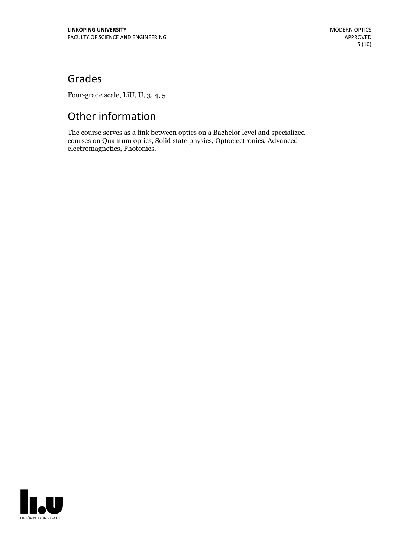## Grades

Four-grade scale, LiU, U, 3, 4, 5

# Other information

The course serves as a link between optics on a Bachelor level and specialized courses on Quantum optics, Solid state physics, Optoelectronics, Advanced electromagnetics, Photonics.

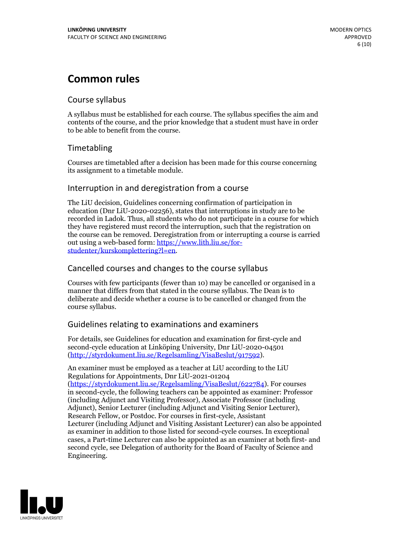## **Common rules**

### Course syllabus

A syllabus must be established for each course. The syllabus specifies the aim and contents of the course, and the prior knowledge that a student must have in order to be able to benefit from the course.

## Timetabling

Courses are timetabled after a decision has been made for this course concerning its assignment to a timetable module.

### Interruption in and deregistration from a course

The LiU decision, Guidelines concerning confirmation of participation in education (Dnr LiU-2020-02256), states that interruptions in study are to be recorded in Ladok. Thus, all students who do not participate in a course for which they have registered must record the interruption, such that the registration on the course can be removed. Deregistration from or interrupting a course is carried out using <sup>a</sup> web-based form: https://www.lith.liu.se/for- [studenter/kurskomplettering?l=en.](https://www.lith.liu.se/for-studenter/kurskomplettering?l=en)

## Cancelled courses and changes to the course syllabus

Courses with few participants (fewer than 10) may be cancelled or organised in a manner that differs from that stated in the course syllabus. The Dean is to deliberate and decide whether a course is to be cancelled or changed from the course syllabus.

## Guidelines relating to examinations and examiners

For details, see Guidelines for education and examination for first-cycle and second-cycle education at Linköping University, Dnr LiU-2020-04501 [\(http://styrdokument.liu.se/Regelsamling/VisaBeslut/917592\)](http://styrdokument.liu.se/Regelsamling/VisaBeslut/917592).

An examiner must be employed as a teacher at LiU according to the LiU Regulations for Appointments, Dnr LiU-2021-01204 [\(https://styrdokument.liu.se/Regelsamling/VisaBeslut/622784](https://styrdokument.liu.se/Regelsamling/VisaBeslut/622784)). For courses in second-cycle, the following teachers can be appointed as examiner: Professor (including Adjunct and Visiting Professor), Associate Professor (including Adjunct), Senior Lecturer (including Adjunct and Visiting Senior Lecturer), Research Fellow, or Postdoc. For courses in first-cycle, Assistant Lecturer (including Adjunct and Visiting Assistant Lecturer) can also be appointed as examiner in addition to those listed for second-cycle courses. In exceptional cases, a Part-time Lecturer can also be appointed as an examiner at both first- and second cycle, see Delegation of authority for the Board of Faculty of Science and Engineering.

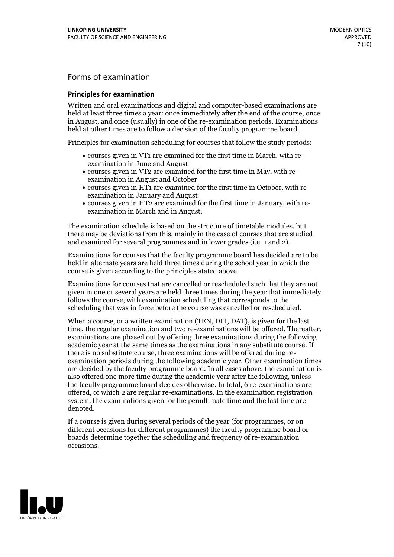## Forms of examination

### **Principles for examination**

Written and oral examinations and digital and computer-based examinations are held at least three times a year: once immediately after the end of the course, once in August, and once (usually) in one of the re-examination periods. Examinations held at other times are to follow a decision of the faculty programme board.

Principles for examination scheduling for courses that follow the study periods:

- courses given in VT1 are examined for the first time in March, with re-examination in June and August
- courses given in VT2 are examined for the first time in May, with re-examination in August and October
- courses given in HT1 are examined for the first time in October, with re-examination in January and August
- courses given in HT2 are examined for the first time in January, with re-examination in March and in August.

The examination schedule is based on the structure of timetable modules, but there may be deviations from this, mainly in the case of courses that are studied and examined for several programmes and in lower grades (i.e. 1 and 2).

Examinations for courses that the faculty programme board has decided are to be held in alternate years are held three times during the school year in which the course is given according to the principles stated above.

Examinations for courses that are cancelled orrescheduled such that they are not given in one or several years are held three times during the year that immediately follows the course, with examination scheduling that corresponds to the scheduling that was in force before the course was cancelled or rescheduled.

When a course, or a written examination (TEN, DIT, DAT), is given for the last time, the regular examination and two re-examinations will be offered. Thereafter, examinations are phased out by offering three examinations during the following academic year at the same times as the examinations in any substitute course. If there is no substitute course, three examinations will be offered during re- examination periods during the following academic year. Other examination times are decided by the faculty programme board. In all cases above, the examination is also offered one more time during the academic year after the following, unless the faculty programme board decides otherwise. In total, 6 re-examinations are offered, of which 2 are regular re-examinations. In the examination registration system, the examinations given for the penultimate time and the last time are denoted.

If a course is given during several periods of the year (for programmes, or on different occasions for different programmes) the faculty programme board or boards determine together the scheduling and frequency of re-examination occasions.

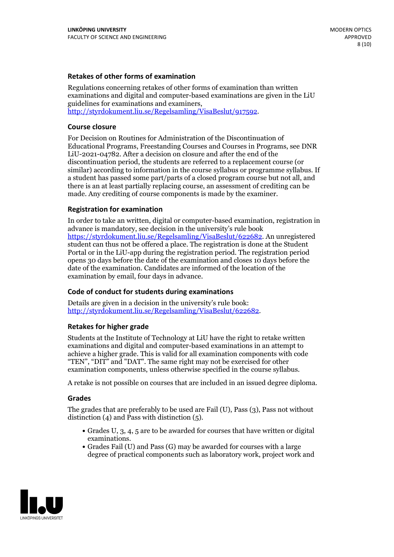### **Retakes of other forms of examination**

Regulations concerning retakes of other forms of examination than written examinations and digital and computer-based examinations are given in the LiU guidelines for examinations and examiners, [http://styrdokument.liu.se/Regelsamling/VisaBeslut/917592.](http://styrdokument.liu.se/Regelsamling/VisaBeslut/917592)

### **Course closure**

For Decision on Routines for Administration of the Discontinuation of Educational Programs, Freestanding Courses and Courses in Programs, see DNR LiU-2021-04782. After a decision on closure and after the end of the discontinuation period, the students are referred to a replacement course (or similar) according to information in the course syllabus or programme syllabus. If a student has passed some part/parts of a closed program course but not all, and there is an at least partially replacing course, an assessment of crediting can be made. Any crediting of course components is made by the examiner.

### **Registration for examination**

In order to take an written, digital or computer-based examination, registration in advance is mandatory, see decision in the university's rule book [https://styrdokument.liu.se/Regelsamling/VisaBeslut/622682.](https://styrdokument.liu.se/Regelsamling/VisaBeslut/622682) An unregistered student can thus not be offered a place. The registration is done at the Student Portal or in the LiU-app during the registration period. The registration period opens 30 days before the date of the examination and closes 10 days before the date of the examination. Candidates are informed of the location of the examination by email, four days in advance.

### **Code of conduct for students during examinations**

Details are given in a decision in the university's rule book: <http://styrdokument.liu.se/Regelsamling/VisaBeslut/622682>.

#### **Retakes for higher grade**

Students at the Institute of Technology at LiU have the right to retake written examinations and digital and computer-based examinations in an attempt to achieve a higher grade. This is valid for all examination components with code "TEN", "DIT" and "DAT". The same right may not be exercised for other examination components, unless otherwise specified in the course syllabus.

A retake is not possible on courses that are included in an issued degree diploma.

#### **Grades**

The grades that are preferably to be used are Fail (U), Pass (3), Pass not without distinction  $(4)$  and Pass with distinction  $(5)$ .

- Grades U, 3, 4, 5 are to be awarded for courses that have written or digital examinations.<br>• Grades Fail (U) and Pass (G) may be awarded for courses with a large
- degree of practical components such as laboratory work, project work and

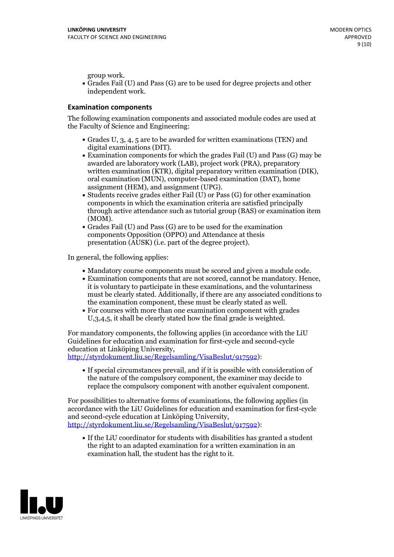group work.<br>• Grades Fail (U) and Pass (G) are to be used for degree projects and other independent work.

### **Examination components**

The following examination components and associated module codes are used at the Faculty of Science and Engineering:

- Grades U, 3, 4, 5 are to be awarded for written examinations (TEN) and
- digital examinations (DIT).<br>• Examination components for which the grades Fail (U) and Pass (G) may be awarded are laboratory work (LAB), project work (PRA), preparatory written examination (KTR), digital preparatory written examination (DIK), oral examination (MUN), computer-based examination (DAT), home
- assignment (HEM), and assignment (UPG).<br>• Students receive grades either Fail (U) or Pass (G) for other examination components in which the examination criteria are satisfied principally through active attendance such as tutorial group (BAS) or examination item
- (MOM).<br>• Grades Fail (U) and Pass (G) are to be used for the examination components Opposition (OPPO) and Attendance at thesis presentation (AUSK) (i.e. part of the degree project).

In general, the following applies:

- 
- Mandatory course components must be scored and given <sup>a</sup> module code. Examination components that are not scored, cannot be mandatory. Hence, it is voluntary to participate in these examinations, and the voluntariness must be clearly stated. Additionally, if there are any associated conditions to
- the examination component, these must be clearly stated as well.<br>• For courses with more than one examination component with grades U,3,4,5, it shall be clearly stated how the final grade is weighted.

For mandatory components, the following applies (in accordance with the LiU Guidelines for education and examination for first-cycle and second-cycle education at Linköping University,<br>[http://styrdokument.liu.se/Regelsamling/VisaBeslut/917592\)](http://styrdokument.liu.se/Regelsamling/VisaBeslut/917592):

If special circumstances prevail, and if it is possible with consideration of the nature of the compulsory component, the examiner may decide to replace the compulsory component with another equivalent component.

For possibilities to alternative forms of examinations, the following applies (in accordance with the LiU Guidelines for education and examination for first-cycle [http://styrdokument.liu.se/Regelsamling/VisaBeslut/917592\)](http://styrdokument.liu.se/Regelsamling/VisaBeslut/917592):

If the LiU coordinator for students with disabilities has granted a student the right to an adapted examination for a written examination in an examination hall, the student has the right to it.